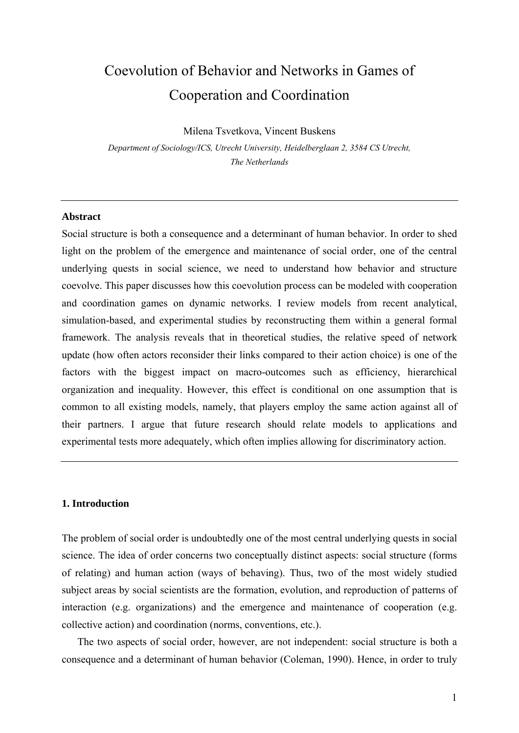# Coevolution of Behavior and Networks in Games of Cooperation and Coordination

Milena Tsvetkova, Vincent Buskens

*Department of Sociology/ICS, Utrecht University, Heidelberglaan 2, 3584 CS Utrecht, The Netherlands* 

# **Abstract**

Social structure is both a consequence and a determinant of human behavior. In order to shed light on the problem of the emergence and maintenance of social order, one of the central underlying quests in social science, we need to understand how behavior and structure coevolve. This paper discusses how this coevolution process can be modeled with cooperation and coordination games on dynamic networks. I review models from recent analytical, simulation-based, and experimental studies by reconstructing them within a general formal framework. The analysis reveals that in theoretical studies, the relative speed of network update (how often actors reconsider their links compared to their action choice) is one of the factors with the biggest impact on macro-outcomes such as efficiency, hierarchical organization and inequality. However, this effect is conditional on one assumption that is common to all existing models, namely, that players employ the same action against all of their partners. I argue that future research should relate models to applications and experimental tests more adequately, which often implies allowing for discriminatory action.

# **1. Introduction**

The problem of social order is undoubtedly one of the most central underlying quests in social science. The idea of order concerns two conceptually distinct aspects: social structure (forms of relating) and human action (ways of behaving). Thus, two of the most widely studied subject areas by social scientists are the formation, evolution, and reproduction of patterns of interaction (e.g. organizations) and the emergence and maintenance of cooperation (e.g. collective action) and coordination (norms, conventions, etc.).

The two aspects of social order, however, are not independent: social structure is both a consequence and a determinant of human behavior (Coleman, 1990). Hence, in order to truly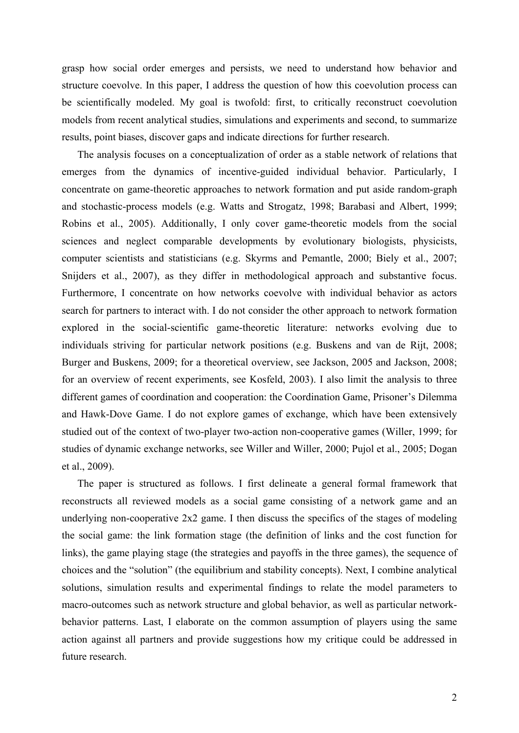grasp how social order emerges and persists, we need to understand how behavior and structure coevolve. In this paper, I address the question of how this coevolution process can be scientifically modeled. My goal is twofold: first, to critically reconstruct coevolution models from recent analytical studies, simulations and experiments and second, to summarize results, point biases, discover gaps and indicate directions for further research.

The analysis focuses on a conceptualization of order as a stable network of relations that emerges from the dynamics of incentive-guided individual behavior. Particularly, I concentrate on game-theoretic approaches to network formation and put aside random-graph and stochastic-process models (e.g. Watts and Strogatz, 1998; Barabasi and Albert, 1999; Robins et al., 2005). Additionally, I only cover game-theoretic models from the social sciences and neglect comparable developments by evolutionary biologists, physicists, computer scientists and statisticians (e.g. Skyrms and Pemantle, 2000; Biely et al., 2007; Snijders et al., 2007), as they differ in methodological approach and substantive focus. Furthermore, I concentrate on how networks coevolve with individual behavior as actors search for partners to interact with. I do not consider the other approach to network formation explored in the social-scientific game-theoretic literature: networks evolving due to individuals striving for particular network positions (e.g. Buskens and van de Rijt, 2008; Burger and Buskens, 2009; for a theoretical overview, see Jackson, 2005 and Jackson, 2008; for an overview of recent experiments, see Kosfeld, 2003). I also limit the analysis to three different games of coordination and cooperation: the Coordination Game, Prisoner's Dilemma and Hawk-Dove Game. I do not explore games of exchange, which have been extensively studied out of the context of two-player two-action non-cooperative games (Willer, 1999; for studies of dynamic exchange networks, see Willer and Willer, 2000; Pujol et al., 2005; Dogan et al., 2009).

The paper is structured as follows. I first delineate a general formal framework that reconstructs all reviewed models as a social game consisting of a network game and an underlying non-cooperative 2x2 game. I then discuss the specifics of the stages of modeling the social game: the link formation stage (the definition of links and the cost function for links), the game playing stage (the strategies and payoffs in the three games), the sequence of choices and the "solution" (the equilibrium and stability concepts). Next, I combine analytical solutions, simulation results and experimental findings to relate the model parameters to macro-outcomes such as network structure and global behavior, as well as particular networkbehavior patterns. Last, I elaborate on the common assumption of players using the same action against all partners and provide suggestions how my critique could be addressed in future research.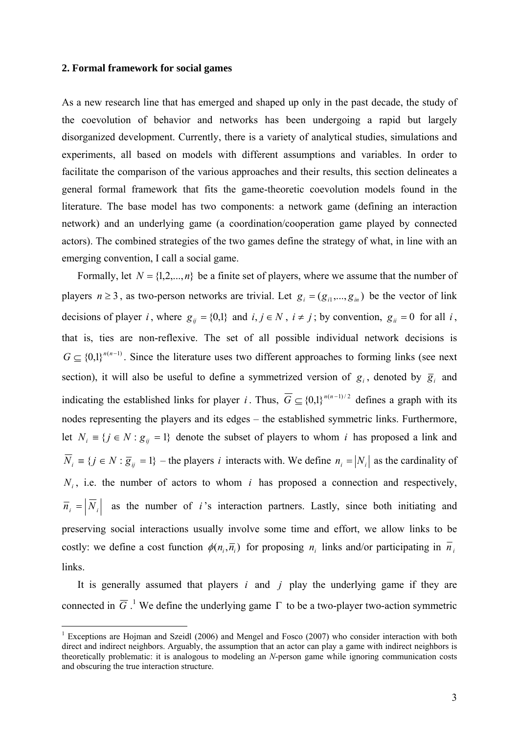#### **2. Formal framework for social games**

<u>.</u>

As a new research line that has emerged and shaped up only in the past decade, the study of the coevolution of behavior and networks has been undergoing a rapid but largely disorganized development. Currently, there is a variety of analytical studies, simulations and experiments, all based on models with different assumptions and variables. In order to facilitate the comparison of the various approaches and their results, this section delineates a general formal framework that fits the game-theoretic coevolution models found in the literature. The base model has two components: a network game (defining an interaction network) and an underlying game (a coordination/cooperation game played by connected actors). The combined strategies of the two games define the strategy of what, in line with an emerging convention, I call a social game.

Formally, let  $N = \{1, 2, ..., n\}$  be a finite set of players, where we assume that the number of players  $n \ge 3$ , as two-person networks are trivial. Let  $g_i = (g_{i1},..., g_{in})$  be the vector of link decisions of player *i*, where  $g_{ij} = \{0,1\}$  and  $i, j \in N$ ,  $i \neq j$ ; by convention,  $g_{ii} = 0$  for all *i*, that is, ties are non-reflexive. The set of all possible individual network decisions is  $G \subseteq \{0,1\}^{n(n-1)}$ . Since the literature uses two different approaches to forming links (see next section), it will also be useful to define a symmetrized version of  $g_i$ , denoted by  $\overline{g}_i$  and indicating the established links for player *i*. Thus,  $\overline{G} \subseteq \{0,1\}^{n(n-1)/2}$  defines a graph with its nodes representing the players and its edges – the established symmetric links. Furthermore, let  $N_i = \{ j \in N : g_{ij} = 1 \}$  denote the subset of players to whom *i* has proposed a link and  $\overline{N}_i \equiv \{j \in N : \overline{g}_{ij} = 1\}$  – the players *i* interacts with. We define  $n_i = |N_i|$  as the cardinality of  $N_i$ , i.e. the number of actors to whom *i* has proposed a connection and respectively,  $\overline{n}_i = |\overline{N}_i|$  as the number of *i*'s interaction partners. Lastly, since both initiating and preserving social interactions usually involve some time and effort, we allow links to be costly: we define a cost function  $\phi(n_i, \overline{n}_i)$  for proposing  $n_i$  links and/or participating in  $\overline{n}_i$ links.

It is generally assumed that players *i* and *j* play the underlying game if they are connected in  $\overline{G}$ .<sup>1</sup> We define the underlying game  $\Gamma$  to be a two-player two-action symmetric

<sup>&</sup>lt;sup>1</sup> Exceptions are Hojman and Szeidl (2006) and Mengel and Fosco (2007) who consider interaction with both direct and indirect neighbors. Arguably, the assumption that an actor can play a game with indirect neighbors is theoretically problematic: it is analogous to modeling an *N*-person game while ignoring communication costs and obscuring the true interaction structure.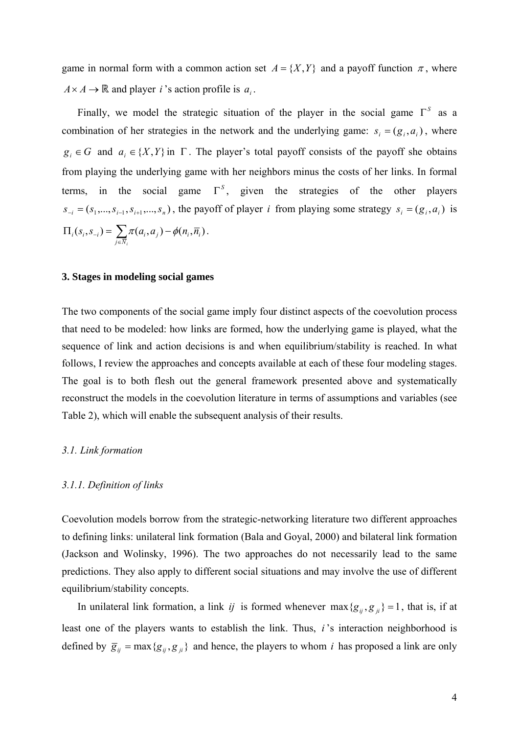game in normal form with a common action set  $A = \{X, Y\}$  and a payoff function  $\pi$ , where  $A \times A \rightarrow \mathbb{R}$  and player *i* 's action profile is  $a_i$ .

Finally, we model the strategic situation of the player in the social game  $\Gamma^s$  as a combination of her strategies in the network and the underlying game:  $s_i = (g_i, a_i)$ , where  $g_i \in G$  and  $a_i \in \{X, Y\}$  in  $\Gamma$ . The player's total payoff consists of the payoff she obtains from playing the underlying game with her neighbors minus the costs of her links. In formal terms, in the social game  $\Gamma^s$ , given the strategies of the other players  $s_{-i} = (s_1, \ldots, s_{i-1}, s_{i+1}, \ldots, s_n)$ , the payoff of player *i* from playing some strategy  $s_i = (g_i, a_i)$  is  $(s_i, s_{-i}) = \sum \pi(a_i, a_j) - \phi(n_i, \overline{n_i})$ *j N*  $\phi_i(s_i, s_{-i}) = \sum \pi(a_i, a_j) - \phi(n_i, \overline{n})$  $\Pi_i(s_i, s_{-i}) = \sum_{j \in \overline{N}_i} \pi(a_i, a_j) - \phi(n_i, \overline{n}_i).$ 

## **3. Stages in modeling social games**

The two components of the social game imply four distinct aspects of the coevolution process that need to be modeled: how links are formed, how the underlying game is played, what the sequence of link and action decisions is and when equilibrium/stability is reached. In what follows, I review the approaches and concepts available at each of these four modeling stages. The goal is to both flesh out the general framework presented above and systematically reconstruct the models in the coevolution literature in terms of assumptions and variables (see Table 2), which will enable the subsequent analysis of their results.

# *3.1. Link formation*

#### *3.1.1. Definition of links*

Coevolution models borrow from the strategic-networking literature two different approaches to defining links: unilateral link formation (Bala and Goyal, 2000) and bilateral link formation (Jackson and Wolinsky, 1996). The two approaches do not necessarily lead to the same predictions. They also apply to different social situations and may involve the use of different equilibrium/stability concepts.

In unilateral link formation, a link *ij* is formed whenever  $\max \{g_{ij}, g_{ji}\} = 1$ , that is, if at least one of the players wants to establish the link. Thus, *i* 's interaction neighborhood is defined by  $\overline{g}_{ij} = \max\{g_{ij}, g_{ji}\}\$  and hence, the players to whom *i* has proposed a link are only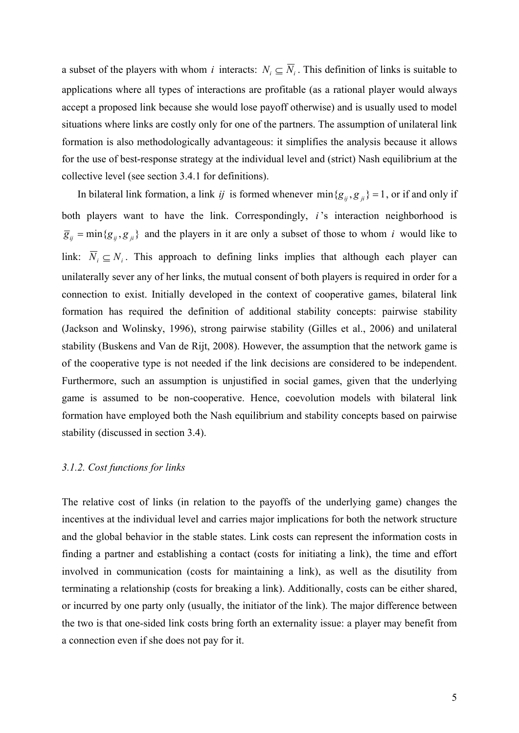a subset of the players with whom *i* interacts:  $N_i \subseteq \overline{N_i}$ . This definition of links is suitable to applications where all types of interactions are profitable (as a rational player would always accept a proposed link because she would lose payoff otherwise) and is usually used to model situations where links are costly only for one of the partners. The assumption of unilateral link formation is also methodologically advantageous: it simplifies the analysis because it allows for the use of best-response strategy at the individual level and (strict) Nash equilibrium at the collective level (see section 3.4.1 for definitions).

In bilateral link formation, a link *ij* is formed whenever  $\min\{g_{ij}, g_{ji}\} = 1$ , or if and only if both players want to have the link. Correspondingly, *i*'s interaction neighborhood is  $\overline{g}_{ij} = \min\{g_{ij}, g_{ji}\}\$ and the players in it are only a subset of those to whom *i* would like to link:  $\overline{N}_i \subseteq N_i$ . This approach to defining links implies that although each player can unilaterally sever any of her links, the mutual consent of both players is required in order for a connection to exist. Initially developed in the context of cooperative games, bilateral link formation has required the definition of additional stability concepts: pairwise stability (Jackson and Wolinsky, 1996), strong pairwise stability (Gilles et al., 2006) and unilateral stability (Buskens and Van de Rijt, 2008). However, the assumption that the network game is of the cooperative type is not needed if the link decisions are considered to be independent. Furthermore, such an assumption is unjustified in social games, given that the underlying game is assumed to be non-cooperative. Hence, coevolution models with bilateral link formation have employed both the Nash equilibrium and stability concepts based on pairwise stability (discussed in section 3.4).

#### *3.1.2. Cost functions for links*

The relative cost of links (in relation to the payoffs of the underlying game) changes the incentives at the individual level and carries major implications for both the network structure and the global behavior in the stable states. Link costs can represent the information costs in finding a partner and establishing a contact (costs for initiating a link), the time and effort involved in communication (costs for maintaining a link), as well as the disutility from terminating a relationship (costs for breaking a link). Additionally, costs can be either shared, or incurred by one party only (usually, the initiator of the link). The major difference between the two is that one-sided link costs bring forth an externality issue: a player may benefit from a connection even if she does not pay for it.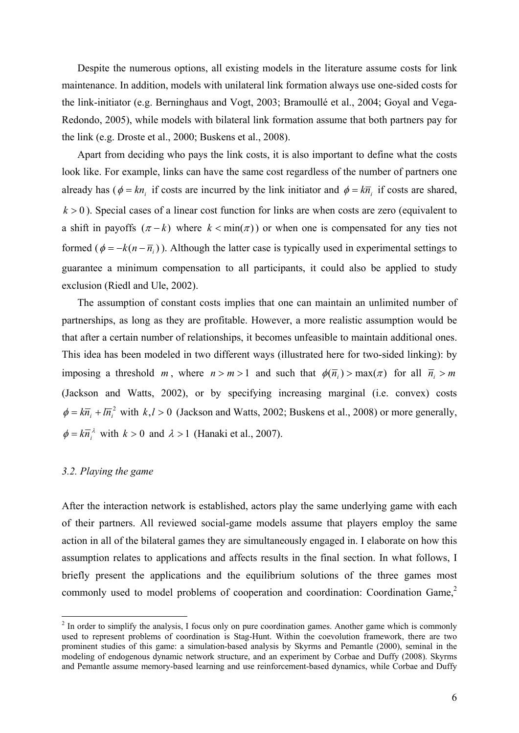Despite the numerous options, all existing models in the literature assume costs for link maintenance. In addition, models with unilateral link formation always use one-sided costs for the link-initiator (e.g. Berninghaus and Vogt, 2003; Bramoullé et al., 2004; Goyal and Vega-Redondo, 2005), while models with bilateral link formation assume that both partners pay for the link (e.g. Droste et al., 2000; Buskens et al., 2008).

Apart from deciding who pays the link costs, it is also important to define what the costs look like. For example, links can have the same cost regardless of the number of partners one already has ( $\phi = kn$ , if costs are incurred by the link initiator and  $\phi = k\overline{n}$ , if costs are shared,  $k > 0$ ). Special cases of a linear cost function for links are when costs are zero (equivalent to a shift in payoffs  $(\pi - k)$  where  $k < \min(\pi)$  or when one is compensated for any ties not formed ( $\phi = -k(n - \overline{n}_i)$ ). Although the latter case is typically used in experimental settings to guarantee a minimum compensation to all participants, it could also be applied to study exclusion (Riedl and Ule, 2002).

The assumption of constant costs implies that one can maintain an unlimited number of partnerships, as long as they are profitable. However, a more realistic assumption would be that after a certain number of relationships, it becomes unfeasible to maintain additional ones. This idea has been modeled in two different ways (illustrated here for two-sided linking): by imposing a threshold *m*, where  $n > m > 1$  and such that  $\phi(\overline{n}_i) > \max(\pi)$  for all  $\overline{n}_i > m$ (Jackson and Watts, 2002), or by specifying increasing marginal (i.e. convex) costs  $\phi = k\overline{n}_i + l\overline{n}_i^2$  with  $k, l > 0$  (Jackson and Watts, 2002; Buskens et al., 2008) or more generally,  $\phi = k\overline{n}_{i}^{\lambda}$  with  $k > 0$  and  $\lambda > 1$  (Hanaki et al., 2007).

## *3.2. Playing the game*

After the interaction network is established, actors play the same underlying game with each of their partners. All reviewed social-game models assume that players employ the same action in all of the bilateral games they are simultaneously engaged in. I elaborate on how this assumption relates to applications and affects results in the final section. In what follows, I briefly present the applications and the equilibrium solutions of the three games most commonly used to model problems of cooperation and coordination: Coordination Game,<sup>2</sup>

<sup>&</sup>lt;sup>2</sup> In order to simplify the analysis, I focus only on pure coordination games. Another game which is commonly used to represent problems of coordination is Stag-Hunt. Within the coevolution framework, there are two prominent studies of this game: a simulation-based analysis by Skyrms and Pemantle (2000), seminal in the modeling of endogenous dynamic network structure, and an experiment by Corbae and Duffy (2008). Skyrms and Pemantle assume memory-based learning and use reinforcement-based dynamics, while Corbae and Duffy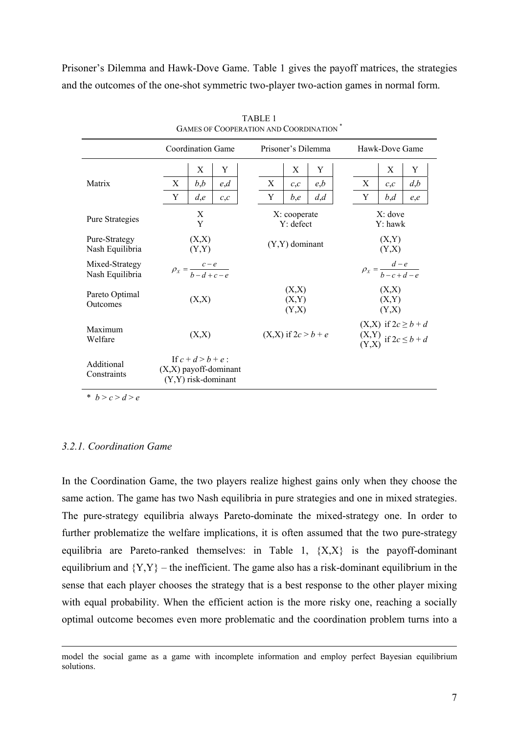Prisoner's Dilemma and Hawk-Dove Game. Table 1 gives the payoff matrices, the strategies and the outcomes of the one-shot symmetric two-player two-action games in normal form.

|                                   | <b>Coordination Game</b>                           |                  |     |  | Prisoner's Dilemma        |                         |     |  | Hawk-Dove Game                                                                                |     |     |  |
|-----------------------------------|----------------------------------------------------|------------------|-----|--|---------------------------|-------------------------|-----|--|-----------------------------------------------------------------------------------------------|-----|-----|--|
|                                   |                                                    | $\mathbf X$      | Y   |  |                           | X                       | Y   |  |                                                                                               | X   | Y   |  |
| Matrix                            | X                                                  | b,b              | e,d |  | X                         | c,c                     | e,b |  | X                                                                                             | c,c | d,b |  |
|                                   | Y                                                  | d,e              | c,c |  | Y                         | b,e                     | d,d |  | Y                                                                                             | b,d | e,e |  |
| Pure Strategies                   | X<br>Y                                             |                  |     |  | X: cooperate<br>Y: defect |                         |     |  | $X:$ dove<br>Y: hawk                                                                          |     |     |  |
| Pure-Strategy<br>Nash Equilibria  | (X,X)<br>(Y,Y)                                     |                  |     |  | $(Y, Y)$ dominant         |                         |     |  | (X,Y)<br>(Y,X)                                                                                |     |     |  |
| Mixed-Strategy<br>Nash Equilibria | $\rho_X = \frac{c-e}{b-d+c-e}$                     |                  |     |  |                           |                         |     |  | $\rho_X = \frac{d-e}{b-c+d-e}$                                                                |     |     |  |
| Pareto Optimal<br>Outcomes        |                                                    | (X,X)            |     |  |                           | (X,X)<br>(X,Y)<br>(Y,X) |     |  | (X,X)<br>(X,Y)<br>(Y,X)                                                                       |     |     |  |
| Maximum<br>Welfare                |                                                    | (X,X)            |     |  |                           | $(X,X)$ if $2c > b + e$ |     |  | $(X,X)$ if $2c \ge b + d$<br>$\begin{array}{c} (X,Y) \\ (Y,X) \end{array}$ if $2c \leq b + d$ |     |     |  |
| Additional<br>Constraints         | $(X, X)$ payoff-dominant<br>$(Y, Y)$ risk-dominant | If $c+d > b+e$ : |     |  |                           |                         |     |  |                                                                                               |     |     |  |

TABLE 1 GAMES OF COOPERATION AND COORDINATION \*

\*  $b > c > d > e$ 

# *3.2.1. Coordination Game*

In the Coordination Game, the two players realize highest gains only when they choose the same action. The game has two Nash equilibria in pure strategies and one in mixed strategies. The pure-strategy equilibria always Pareto-dominate the mixed-strategy one. In order to further problematize the welfare implications, it is often assumed that the two pure-strategy equilibria are Pareto-ranked themselves: in Table 1,  ${X,X}$  is the payoff-dominant equilibrium and  ${Y,Y}$  – the inefficient. The game also has a risk-dominant equilibrium in the sense that each player chooses the strategy that is a best response to the other player mixing with equal probability. When the efficient action is the more risky one, reaching a socially optimal outcome becomes even more problematic and the coordination problem turns into a

model the social game as a game with incomplete information and employ perfect Bayesian equilibrium solutions.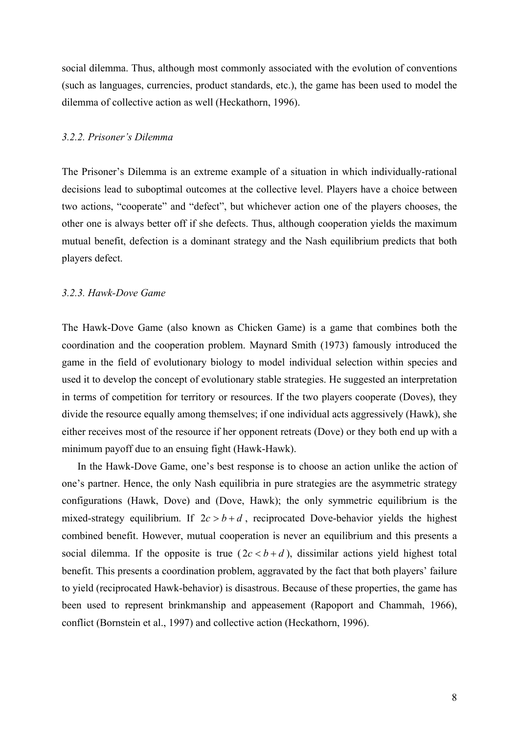social dilemma. Thus, although most commonly associated with the evolution of conventions (such as languages, currencies, product standards, etc.), the game has been used to model the dilemma of collective action as well (Heckathorn, 1996).

# *3.2.2. Prisoner's Dilemma*

The Prisoner's Dilemma is an extreme example of a situation in which individually-rational decisions lead to suboptimal outcomes at the collective level. Players have a choice between two actions, "cooperate" and "defect", but whichever action one of the players chooses, the other one is always better off if she defects. Thus, although cooperation yields the maximum mutual benefit, defection is a dominant strategy and the Nash equilibrium predicts that both players defect.

# *3.2.3. Hawk-Dove Game*

The Hawk-Dove Game (also known as Chicken Game) is a game that combines both the coordination and the cooperation problem. Maynard Smith (1973) famously introduced the game in the field of evolutionary biology to model individual selection within species and used it to develop the concept of evolutionary stable strategies. He suggested an interpretation in terms of competition for territory or resources. If the two players cooperate (Doves), they divide the resource equally among themselves; if one individual acts aggressively (Hawk), she either receives most of the resource if her opponent retreats (Dove) or they both end up with a minimum payoff due to an ensuing fight (Hawk-Hawk).

In the Hawk-Dove Game, one's best response is to choose an action unlike the action of one's partner. Hence, the only Nash equilibria in pure strategies are the asymmetric strategy configurations (Hawk, Dove) and (Dove, Hawk); the only symmetric equilibrium is the mixed-strategy equilibrium. If  $2c > b + d$ , reciprocated Dove-behavior yields the highest combined benefit. However, mutual cooperation is never an equilibrium and this presents a social dilemma. If the opposite is true  $(2c < b + d)$ , dissimilar actions yield highest total benefit. This presents a coordination problem, aggravated by the fact that both players' failure to yield (reciprocated Hawk-behavior) is disastrous. Because of these properties, the game has been used to represent brinkmanship and appeasement (Rapoport and Chammah, 1966), conflict (Bornstein et al., 1997) and collective action (Heckathorn, 1996).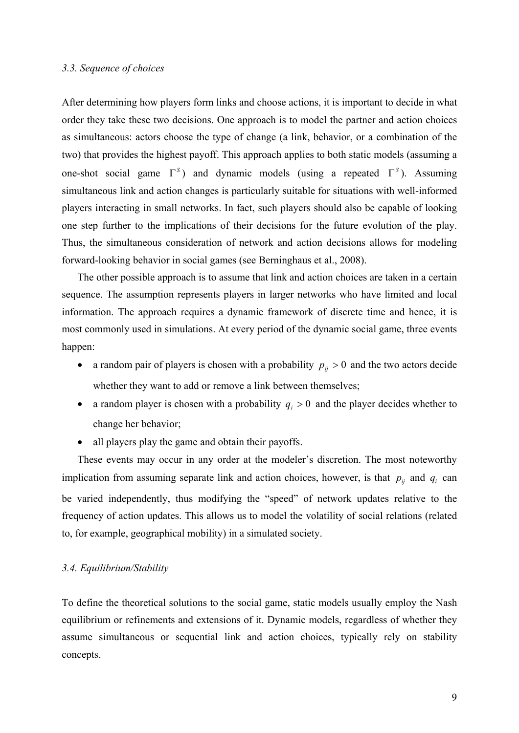# *3.3. Sequence of choices*

After determining how players form links and choose actions, it is important to decide in what order they take these two decisions. One approach is to model the partner and action choices as simultaneous: actors choose the type of change (a link, behavior, or a combination of the two) that provides the highest payoff. This approach applies to both static models (assuming a one-shot social game  $\Gamma^{s}$ ) and dynamic models (using a repeated  $\Gamma^{s}$ ). Assuming simultaneous link and action changes is particularly suitable for situations with well-informed players interacting in small networks. In fact, such players should also be capable of looking one step further to the implications of their decisions for the future evolution of the play. Thus, the simultaneous consideration of network and action decisions allows for modeling forward-looking behavior in social games (see Berninghaus et al., 2008).

The other possible approach is to assume that link and action choices are taken in a certain sequence. The assumption represents players in larger networks who have limited and local information. The approach requires a dynamic framework of discrete time and hence, it is most commonly used in simulations. At every period of the dynamic social game, three events happen:

- a random pair of players is chosen with a probability  $p_{ij} > 0$  and the two actors decide whether they want to add or remove a link between themselves;
- a random player is chosen with a probability  $q_i > 0$  and the player decides whether to change her behavior;
- all players play the game and obtain their payoffs.

These events may occur in any order at the modeler's discretion. The most noteworthy implication from assuming separate link and action choices, however, is that  $p_{ij}$  and  $q_i$  can be varied independently, thus modifying the "speed" of network updates relative to the frequency of action updates. This allows us to model the volatility of social relations (related to, for example, geographical mobility) in a simulated society.

# *3.4. Equilibrium/Stability*

To define the theoretical solutions to the social game, static models usually employ the Nash equilibrium or refinements and extensions of it. Dynamic models, regardless of whether they assume simultaneous or sequential link and action choices, typically rely on stability concepts.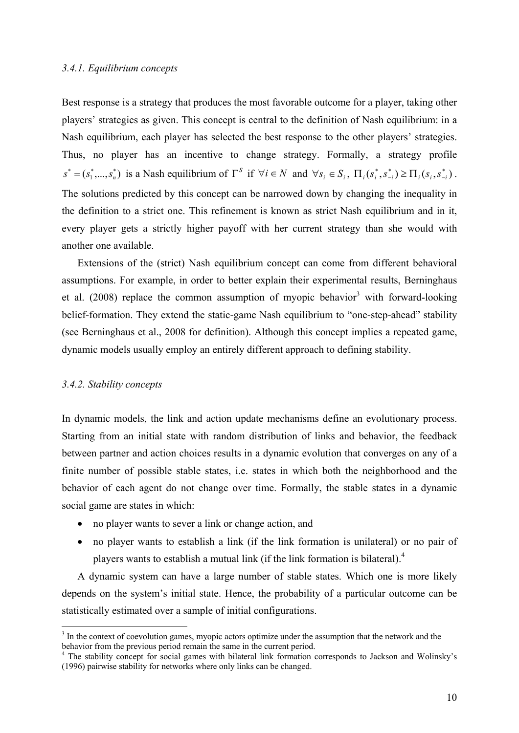#### *3.4.1. Equilibrium concepts*

Best response is a strategy that produces the most favorable outcome for a player, taking other players' strategies as given. This concept is central to the definition of Nash equilibrium: in a Nash equilibrium, each player has selected the best response to the other players' strategies. Thus, no player has an incentive to change strategy. Formally, a strategy profile  $s^* = (s_1^*, \dots, s_n^*)$  is a Nash equilibrium of  $\Gamma^S$  if  $\forall i \in \mathbb{N}$  and  $\forall s_i \in \mathbb{S}_i$ ,  $\Pi_i(s_i^*, s_{-i}^*) \ge \Pi_i(s_i, s_{-i}^*)$ ∗  $\Pi_i(s_i^*, s_{-i}^*) \geq \Pi_i(s_i, s_{-i}^*)$ . The solutions predicted by this concept can be narrowed down by changing the inequality in the definition to a strict one. This refinement is known as strict Nash equilibrium and in it, every player gets a strictly higher payoff with her current strategy than she would with another one available.

Extensions of the (strict) Nash equilibrium concept can come from different behavioral assumptions. For example, in order to better explain their experimental results, Berninghaus et al. (2008) replace the common assumption of myopic behavior<sup>3</sup> with forward-looking belief-formation. They extend the static-game Nash equilibrium to "one-step-ahead" stability (see Berninghaus et al., 2008 for definition). Although this concept implies a repeated game, dynamic models usually employ an entirely different approach to defining stability.

# *3.4.2. Stability concepts*

<u>.</u>

In dynamic models, the link and action update mechanisms define an evolutionary process. Starting from an initial state with random distribution of links and behavior, the feedback between partner and action choices results in a dynamic evolution that converges on any of a finite number of possible stable states, i.e. states in which both the neighborhood and the behavior of each agent do not change over time. Formally, the stable states in a dynamic social game are states in which:

- no player wants to sever a link or change action, and
- no player wants to establish a link (if the link formation is unilateral) or no pair of players wants to establish a mutual link (if the link formation is bilateral). $4$

A dynamic system can have a large number of stable states. Which one is more likely depends on the system's initial state. Hence, the probability of a particular outcome can be statistically estimated over a sample of initial configurations.

<sup>&</sup>lt;sup>3</sup> In the context of coevolution games, myopic actors optimize under the assumption that the network and the behavior from the previous period remain the same in the current period.

<sup>&</sup>lt;sup>4</sup> The stability concept for social games with bilateral link formation corresponds to Jackson and Wolinsky's (1996) pairwise stability for networks where only links can be changed.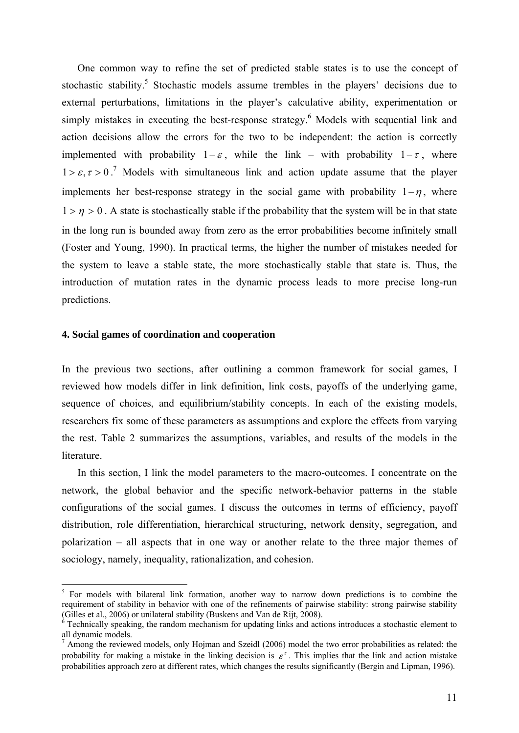One common way to refine the set of predicted stable states is to use the concept of stochastic stability.<sup>5</sup> Stochastic models assume trembles in the players' decisions due to external perturbations, limitations in the player's calculative ability, experimentation or simply mistakes in executing the best-response strategy.<sup>6</sup> Models with sequential link and action decisions allow the errors for the two to be independent: the action is correctly implemented with probability  $1-\varepsilon$ , while the link – with probability  $1-\tau$ , where  $1 > \varepsilon, \tau > 0$ .<sup>7</sup> Models with simultaneous link and action update assume that the player implements her best-response strategy in the social game with probability  $1-\eta$ , where  $1 > \eta > 0$ . A state is stochastically stable if the probability that the system will be in that state in the long run is bounded away from zero as the error probabilities become infinitely small (Foster and Young, 1990). In practical terms, the higher the number of mistakes needed for the system to leave a stable state, the more stochastically stable that state is. Thus, the introduction of mutation rates in the dynamic process leads to more precise long-run predictions.

## **4. Social games of coordination and cooperation**

1

In the previous two sections, after outlining a common framework for social games, I reviewed how models differ in link definition, link costs, payoffs of the underlying game, sequence of choices, and equilibrium/stability concepts. In each of the existing models, researchers fix some of these parameters as assumptions and explore the effects from varying the rest. Table 2 summarizes the assumptions, variables, and results of the models in the literature.

In this section, I link the model parameters to the macro-outcomes. I concentrate on the network, the global behavior and the specific network-behavior patterns in the stable configurations of the social games. I discuss the outcomes in terms of efficiency, payoff distribution, role differentiation, hierarchical structuring, network density, segregation, and polarization – all aspects that in one way or another relate to the three major themes of sociology, namely, inequality, rationalization, and cohesion.

<sup>&</sup>lt;sup>5</sup> For models with bilateral link formation, another way to narrow down predictions is to combine the requirement of stability in behavior with one of the refinements of pairwise stability: strong pairwise stability (Gilles et al., 2006) or unilateral stability (Buskens and Van de Rijt, 2008).

 $6$  Technically speaking, the random mechanism for updating links and actions introduces a stochastic element to all dynamic models.

<sup>7</sup> Among the reviewed models, only Hojman and Szeidl (2006) model the two error probabilities as related: the probability for making a mistake in the linking decision is  $\varepsilon^r$ . This implies that the link and action mistake probabilities approach zero at different rates, which changes the results significantly (Bergin and Lipman, 1996).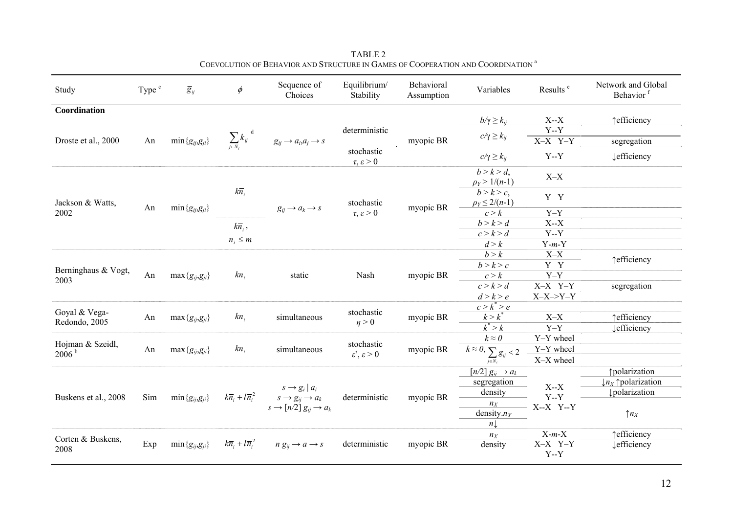| Study                                                  | Type <sup>c</sup> | $\overline{g}_y$          | $\phi$                                             | Sequence of<br>Choices                                                                                              | Equilibrium/<br>Stability                                               | Behavioral<br>Assumption | Variables                                                                               | Results <sup>e</sup>                       | Network and Global<br>Behavior <sup>f</sup>              |
|--------------------------------------------------------|-------------------|---------------------------|----------------------------------------------------|---------------------------------------------------------------------------------------------------------------------|-------------------------------------------------------------------------|--------------------------|-----------------------------------------------------------------------------------------|--------------------------------------------|----------------------------------------------------------|
| Coordination                                           | An                | $\min\{g_{ij},g_{ji}\}$   | $\sum_{j\in\overline{N}}k_{ij}^{\;\;\;\mathrm{d}}$ | $g_{ij} \rightarrow a_i, a_j \rightarrow s$                                                                         | deterministic                                                           |                          | $b/\gamma \geq k_{ij}$<br>$c/\gamma \geq k_{ij}$                                        | $X - X$<br>$Y - Y$                         | ↑efficiency                                              |
| Droste et al., 2000                                    |                   |                           |                                                    |                                                                                                                     | stochastic<br>$\tau, \varepsilon > 0$                                   | myopic BR                | $c/\gamma \geq k_{ij}$                                                                  | $X-X$ $Y-Y$<br>$Y - Y$                     | segregation<br><b>Lefficiency</b>                        |
| Jackson & Watts,<br>2002                               | An                | $\min\{g_{ij},g_{ji}\}$   | $k\overline{n}_i$                                  |                                                                                                                     | stochastic<br>$\tau, \varepsilon > 0$                                   | myopic BR                | $b > k > d$ ,<br>$\rho_Y > 1/(n-1)$                                                     | $X-X$                                      |                                                          |
|                                                        |                   |                           |                                                    | $g_{ij} \rightarrow a_k \rightarrow s$                                                                              |                                                                         |                          | b > k > c<br>$\rho_Y \leq 2/(n-1)$<br>c > k                                             | Y Y<br>$Y-Y$                               |                                                          |
|                                                        |                   |                           | $k\overline{n}_i$ ,<br>$\overline{n}_i \leq m$     |                                                                                                                     |                                                                         |                          | b > k > d<br>c > k > d                                                                  | $X - X$<br>$Y - Y$                         |                                                          |
| Berninghaus & Vogt,<br>2003                            | An                | $max{g_{ij,}g_{ji}}$      | $kn_i$                                             | static                                                                                                              | Nash                                                                    |                          | d > k<br>b > k<br>b > k > c                                                             | $Y-m-Y$<br>$X-X$<br>Y Y                    | ↑efficiency                                              |
|                                                        |                   |                           |                                                    |                                                                                                                     |                                                                         | myopic BR                | c > k<br>c > k > d                                                                      | $Y-Y$<br>X-X Y-Y                           | segregation                                              |
| Goyal & Vega-                                          | An                | $max{g_{ij,}g_{ji}}$      | $kn_i$                                             | simultaneous                                                                                                        | stochastic                                                              | myopic BR                | d > k > e<br>$c > k^* > e$<br>$k > k^*$                                                 | $X-X\rightarrow Y-Y$<br>$X-X$              | ↑ efficiency                                             |
| Redondo, 2005<br>Hojman & Szeidl,<br>2006 <sup>b</sup> | An                | $max{g_{ij,}g_{ji}}$      | $kn_i$                                             | simultaneous                                                                                                        | $\eta > 0$<br>stochastic<br>$\varepsilon^{\tau}, \, \varepsilon \geq 0$ |                          | $k^* > k$<br>$k \approx 0$                                                              | $Y-Y$<br>Y-Y wheel                         | <b>Lefficiency</b>                                       |
|                                                        |                   |                           |                                                    |                                                                                                                     |                                                                         | myopic BR                | $\overline{k} \approx 0, \sum_{j \in N_i} g_{ij} < 2$<br>$[n/2] g_{ij} \rightarrow a_k$ | Y-Y wheel<br>X-X wheel                     | <i><u><b>†polarization</b></u></i>                       |
| Buskens et al., 2008                                   | Sim               | $\min\{g_{ii}, g_{ii}\}\$ | $k\overline{n}_i + l\overline{n}_i^2$              | $s \rightarrow g_i   a_i$<br>$s \rightarrow g_{ij} \rightarrow a_k$<br>$s \rightarrow [n/2] g_{ii} \rightarrow a_k$ | deterministic                                                           | myopic BR                | segregation<br>density<br>$n_{\boldsymbol{X}}$                                          | $X - X$<br>$Y - Y$<br>$X-X$ Y-Y<br>$X-m-X$ | $\downarrow$ n <sub>X</sub> polarization<br>polarization |
|                                                        |                   |                           |                                                    |                                                                                                                     |                                                                         |                          | density. $n_X$<br>$n\downarrow$<br>$n_X$                                                |                                            | $\uparrow n_X$<br>↑efficiency                            |
| Corten & Buskens,<br>2008                              | Exp               | $\min\{g_{ij},g_{ji}\}$   | $k\overline{n}_i + l\overline{n}_i^2$              | $n g_{ii} \rightarrow a \rightarrow s$                                                                              | deterministic                                                           | myopic BR                | density                                                                                 | X-X Y-Y<br>$Y - Y$                         | <b>Lefficiency</b>                                       |

TABLE 2 COEVOLUTION OF BEHAVIOR AND STRUCTURE IN GAMES OF COOPERATION AND COORDINATION  $^{\rm a}$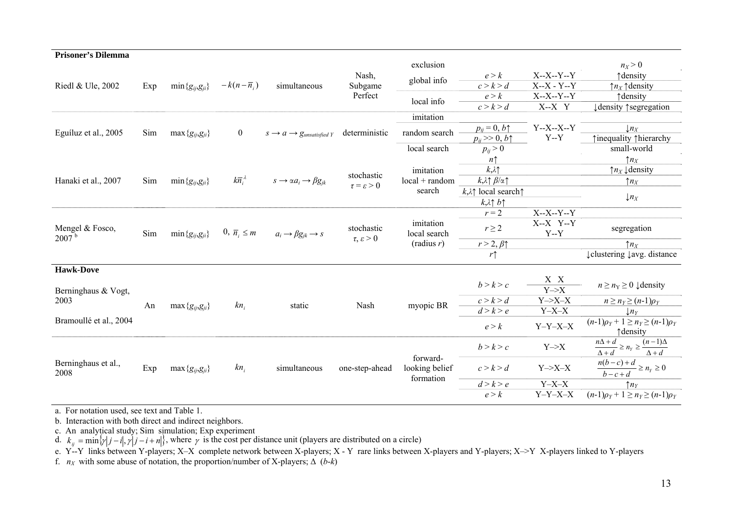| <b>Prisoner's Dilemma</b>     |     |                         |                               |                                                          |                                        |                                         |                                               |                             |                                                                              |
|-------------------------------|-----|-------------------------|-------------------------------|----------------------------------------------------------|----------------------------------------|-----------------------------------------|-----------------------------------------------|-----------------------------|------------------------------------------------------------------------------|
|                               |     |                         |                               |                                                          |                                        | exclusion                               |                                               |                             | $n_X > 0$                                                                    |
| Riedl & Ule, 2002             | Exp | $\min\{g_{ij},g_{ji}\}$ | $-k(n-\overline{n}_{i})$      | simultaneous                                             | Nash,<br>Subgame<br>Perfect            | global info                             | e > k                                         | $X-X-Y-Y$                   | ↑ density                                                                    |
|                               |     |                         |                               |                                                          |                                        |                                         | c > k > d                                     | $X-X - Y-Y$                 | $\uparrow$ <i>n<sub>x</sub></i> $\uparrow$ density                           |
|                               |     |                         |                               |                                                          |                                        | local info                              | e > k                                         | $X-X-Y-Y$                   | ↑ density                                                                    |
|                               |     |                         |                               |                                                          |                                        |                                         | c > k > d                                     | $X-X$ Y                     | ↓ density ↑ segregation                                                      |
|                               |     |                         |                               |                                                          |                                        | imitation                               |                                               |                             |                                                                              |
| Eguíluz et al., 2005          | Sim | $\max\{g_{ij},g_{ji}\}$ | $\bf{0}$                      | $s \rightarrow a \rightarrow g$ <sub>unsatisfied</sub> Y | deterministic                          | random search                           | $p_{ij} = 0, b\uparrow$                       | $Y-X-X-Y$                   | $\downarrow n_X$                                                             |
|                               |     |                         |                               |                                                          |                                        |                                         | $p_{ij} \gg 0, b \uparrow$                    | $Y - Y$                     | ↑inequality ↑hierarchy                                                       |
|                               |     |                         |                               |                                                          |                                        | local search                            | $p_{ij} > 0$                                  |                             | small-world                                                                  |
|                               |     |                         |                               |                                                          |                                        |                                         | $n\uparrow$                                   |                             | $\uparrow n_X$                                                               |
|                               | Sim | $\min\{g_{ij},g_{ji}\}$ | $k\overline{n}_{i}^{\lambda}$ | $s \rightarrow \alpha a_i \rightarrow \beta g_{jk}$      | stochastic<br>$\tau = \varepsilon > 0$ | imitation                               | $k,\lambda$                                   |                             | $\uparrow$ <i>n<sub>x</sub></i> $\downarrow$ density                         |
| Hanaki et al., 2007           |     |                         |                               |                                                          |                                        | $local + random$                        | $k, \lambda \uparrow \beta/\alpha \uparrow$   |                             | $\uparrow n_X$                                                               |
|                               |     |                         |                               |                                                          |                                        | search                                  | $k, \lambda \uparrow$ local search $\uparrow$ |                             |                                                                              |
|                               |     |                         |                               |                                                          |                                        |                                         | $k \lambda \uparrow b \uparrow$               |                             | $\downarrow n_X$                                                             |
| Mengel & Fosco,<br>$2007^{b}$ | Sim | $\min\{g_{ij},g_{ji}\}$ | $0, \overline{n}_i \leq m$    |                                                          |                                        |                                         | $r = 2$                                       | $X-X-Y-Y$                   |                                                                              |
|                               |     |                         |                               | $a_i \rightarrow \beta g_{jk} \rightarrow s$             | stochastic<br>$\tau, \varepsilon > 0$  | imitation<br>local search<br>(radius r) |                                               | $X-X$ Y-Y                   |                                                                              |
|                               |     |                         |                               |                                                          |                                        |                                         | $r \geq 2$                                    | $Y - Y$                     | segregation                                                                  |
|                               |     |                         |                               |                                                          |                                        |                                         | $r > 2, \beta \uparrow$                       |                             | $\uparrow n_X$                                                               |
|                               |     |                         |                               |                                                          |                                        |                                         | $r\uparrow$                                   |                             | ↓clustering ↓ avg. distance                                                  |
| <b>Hawk-Dove</b>              |     |                         |                               |                                                          |                                        |                                         |                                               |                             |                                                                              |
|                               |     |                         |                               |                                                          |                                        |                                         |                                               | X X                         |                                                                              |
| Berninghaus & Vogt,           |     |                         |                               |                                                          |                                        |                                         | b > k > c                                     | $\overline{Y\rightarrow X}$ | $n \ge n_{\rm Y} \ge 0$ $\downarrow$ density                                 |
| 2003                          | An  | $max{g_{ij,}g_{ji}}$    | $kn_i$                        | static                                                   | Nash                                   | myopic BR                               | c > k > d                                     | $Y\rightarrow X-X$          | $n \geq n_Y \geq (n-1)\rho_Y$                                                |
|                               |     |                         |                               |                                                          |                                        |                                         | d > k > e                                     | $Y-X-X$                     | $\lfloor n_Y \rfloor$                                                        |
| Bramoullé et al., 2004        |     |                         |                               |                                                          |                                        |                                         |                                               |                             | $(n-1)\rho_Y + 1 \ge n_Y \ge (n-1)\rho_Y$                                    |
|                               |     |                         |                               |                                                          |                                        |                                         | e > k                                         | $Y-Y-X-X$                   | ↑ density                                                                    |
| Berninghaus et al.,<br>2008   | Exp | $max{g_{ij,}g_{ji}}$    | $kn_i$                        | simultaneous                                             | one-step-ahead                         | forward-<br>looking belief<br>formation | b > k > c                                     | $Y\rightarrow X$            | $\frac{n\Delta+d}{\Delta+d}\geq n_{\gamma}\geq \frac{(n-1)\Delta}{\Delta+d}$ |
|                               |     |                         |                               |                                                          |                                        |                                         |                                               |                             |                                                                              |
|                               |     |                         |                               |                                                          |                                        |                                         | c > k > d                                     | $Y\rightarrow X-X$          | $\frac{n(b-c)+d}{b-c+d} \ge n_Y \ge 0$                                       |
|                               |     |                         |                               |                                                          |                                        |                                         |                                               |                             |                                                                              |
|                               |     |                         |                               |                                                          |                                        |                                         | d > k > e                                     | $Y-X-X$                     | $\uparrow n_Y$                                                               |
|                               |     |                         |                               |                                                          |                                        |                                         | e > k                                         | $Y-Y-X-X$                   | $(n-1)\rho_Y + 1 \ge n_Y \ge (n-1)\rho_Y$                                    |
|                               |     |                         |                               |                                                          |                                        |                                         |                                               |                             |                                                                              |

a. For notation used, see text and Table 1.

b. Interaction with both direct and indirect neighbors.

c. An analytical study; Sim simulation; Exp experiment

d.  $k_{ij} = \min{\{\gamma |j - i |, \gamma |j - i + n\}}$ , where  $\gamma$  is the cost per distance unit (players are distributed on a circle)

e. Y--Y links between Y-players; X–X complete network between X-players; X - Y rare links between X-players and Y-players; X–>Y X-players linked to Y-players

f.  $n_X$  with some abuse of notation, the proportion/number of X-players;  $\Delta$  (*b-k*)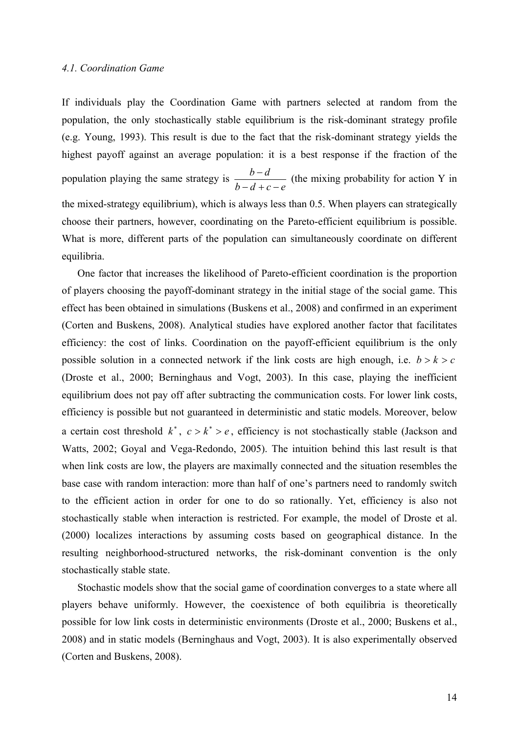# *4.1. Coordination Game*

If individuals play the Coordination Game with partners selected at random from the population, the only stochastically stable equilibrium is the risk-dominant strategy profile (e.g. Young, 1993). This result is due to the fact that the risk-dominant strategy yields the highest payoff against an average population: it is a best response if the fraction of the population playing the same strategy is  $\frac{b-d}{b-d+c-e}$  $-d + c -\frac{d}{dx}$  (the mixing probability for action Y in the mixed-strategy equilibrium), which is always less than 0.5. When players can strategically choose their partners, however, coordinating on the Pareto-efficient equilibrium is possible. What is more, different parts of the population can simultaneously coordinate on different equilibria.

One factor that increases the likelihood of Pareto-efficient coordination is the proportion of players choosing the payoff-dominant strategy in the initial stage of the social game. This effect has been obtained in simulations (Buskens et al., 2008) and confirmed in an experiment (Corten and Buskens, 2008). Analytical studies have explored another factor that facilitates efficiency: the cost of links. Coordination on the payoff-efficient equilibrium is the only possible solution in a connected network if the link costs are high enough, i.e.  $b > k > c$ (Droste et al., 2000; Berninghaus and Vogt, 2003). In this case, playing the inefficient equilibrium does not pay off after subtracting the communication costs. For lower link costs, efficiency is possible but not guaranteed in deterministic and static models. Moreover, below a certain cost threshold  $k^*$ ,  $c > k^* > e$ , efficiency is not stochastically stable (Jackson and Watts, 2002; Goyal and Vega-Redondo, 2005). The intuition behind this last result is that when link costs are low, the players are maximally connected and the situation resembles the base case with random interaction: more than half of one's partners need to randomly switch to the efficient action in order for one to do so rationally. Yet, efficiency is also not stochastically stable when interaction is restricted. For example, the model of Droste et al. (2000) localizes interactions by assuming costs based on geographical distance. In the resulting neighborhood-structured networks, the risk-dominant convention is the only stochastically stable state.

Stochastic models show that the social game of coordination converges to a state where all players behave uniformly. However, the coexistence of both equilibria is theoretically possible for low link costs in deterministic environments (Droste et al., 2000; Buskens et al., 2008) and in static models (Berninghaus and Vogt, 2003). It is also experimentally observed (Corten and Buskens, 2008).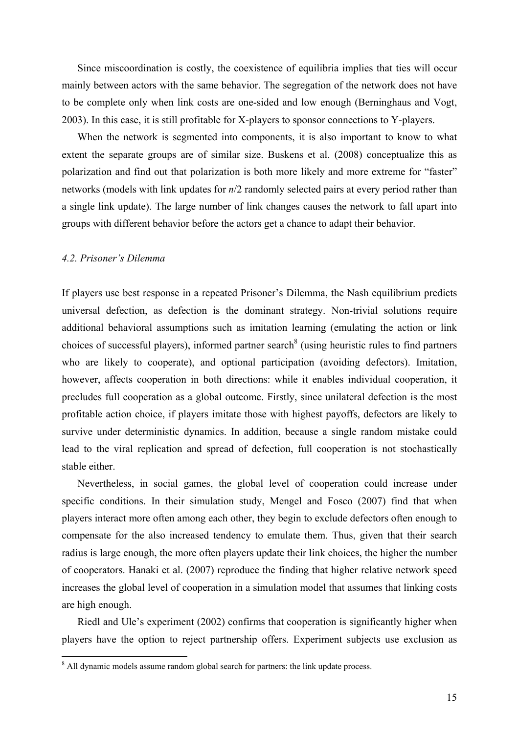Since miscoordination is costly, the coexistence of equilibria implies that ties will occur mainly between actors with the same behavior. The segregation of the network does not have to be complete only when link costs are one-sided and low enough (Berninghaus and Vogt, 2003). In this case, it is still profitable for X-players to sponsor connections to Y-players.

When the network is segmented into components, it is also important to know to what extent the separate groups are of similar size. Buskens et al. (2008) conceptualize this as polarization and find out that polarization is both more likely and more extreme for "faster" networks (models with link updates for *n*/2 randomly selected pairs at every period rather than a single link update). The large number of link changes causes the network to fall apart into groups with different behavior before the actors get a chance to adapt their behavior.

## *4.2. Prisoner's Dilemma*

If players use best response in a repeated Prisoner's Dilemma, the Nash equilibrium predicts universal defection, as defection is the dominant strategy. Non-trivial solutions require additional behavioral assumptions such as imitation learning (emulating the action or link choices of successful players), informed partner search  $\delta$  (using heuristic rules to find partners who are likely to cooperate), and optional participation (avoiding defectors). Imitation, however, affects cooperation in both directions: while it enables individual cooperation, it precludes full cooperation as a global outcome. Firstly, since unilateral defection is the most profitable action choice, if players imitate those with highest payoffs, defectors are likely to survive under deterministic dynamics. In addition, because a single random mistake could lead to the viral replication and spread of defection, full cooperation is not stochastically stable either.

Nevertheless, in social games, the global level of cooperation could increase under specific conditions. In their simulation study, Mengel and Fosco (2007) find that when players interact more often among each other, they begin to exclude defectors often enough to compensate for the also increased tendency to emulate them. Thus, given that their search radius is large enough, the more often players update their link choices, the higher the number of cooperators. Hanaki et al. (2007) reproduce the finding that higher relative network speed increases the global level of cooperation in a simulation model that assumes that linking costs are high enough.

Riedl and Ule's experiment (2002) confirms that cooperation is significantly higher when players have the option to reject partnership offers. Experiment subjects use exclusion as

<sup>&</sup>lt;sup>8</sup> All dynamic models assume random global search for partners: the link update process.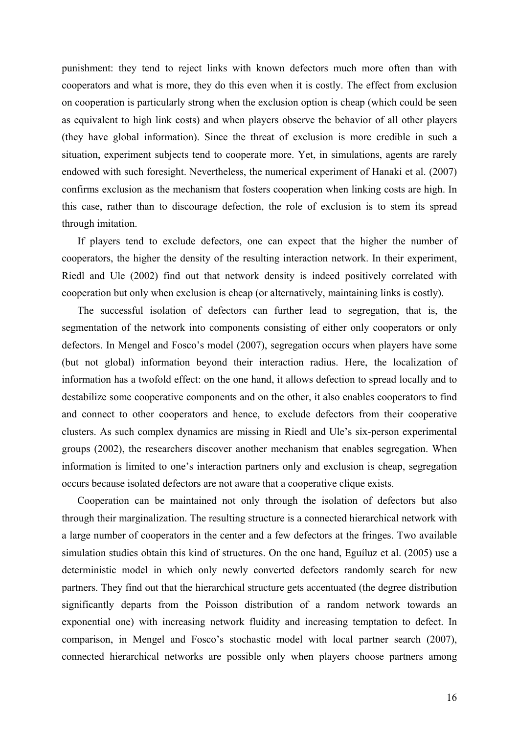punishment: they tend to reject links with known defectors much more often than with cooperators and what is more, they do this even when it is costly. The effect from exclusion on cooperation is particularly strong when the exclusion option is cheap (which could be seen as equivalent to high link costs) and when players observe the behavior of all other players (they have global information). Since the threat of exclusion is more credible in such a situation, experiment subjects tend to cooperate more. Yet, in simulations, agents are rarely endowed with such foresight. Nevertheless, the numerical experiment of Hanaki et al. (2007) confirms exclusion as the mechanism that fosters cooperation when linking costs are high. In this case, rather than to discourage defection, the role of exclusion is to stem its spread through imitation.

If players tend to exclude defectors, one can expect that the higher the number of cooperators, the higher the density of the resulting interaction network. In their experiment, Riedl and Ule (2002) find out that network density is indeed positively correlated with cooperation but only when exclusion is cheap (or alternatively, maintaining links is costly).

The successful isolation of defectors can further lead to segregation, that is, the segmentation of the network into components consisting of either only cooperators or only defectors. In Mengel and Fosco's model (2007), segregation occurs when players have some (but not global) information beyond their interaction radius. Here, the localization of information has a twofold effect: on the one hand, it allows defection to spread locally and to destabilize some cooperative components and on the other, it also enables cooperators to find and connect to other cooperators and hence, to exclude defectors from their cooperative clusters. As such complex dynamics are missing in Riedl and Ule's six-person experimental groups (2002), the researchers discover another mechanism that enables segregation. When information is limited to one's interaction partners only and exclusion is cheap, segregation occurs because isolated defectors are not aware that a cooperative clique exists.

Cooperation can be maintained not only through the isolation of defectors but also through their marginalization. The resulting structure is a connected hierarchical network with a large number of cooperators in the center and a few defectors at the fringes. Two available simulation studies obtain this kind of structures. On the one hand, Eguíluz et al. (2005) use a deterministic model in which only newly converted defectors randomly search for new partners. They find out that the hierarchical structure gets accentuated (the degree distribution significantly departs from the Poisson distribution of a random network towards an exponential one) with increasing network fluidity and increasing temptation to defect. In comparison, in Mengel and Fosco's stochastic model with local partner search (2007), connected hierarchical networks are possible only when players choose partners among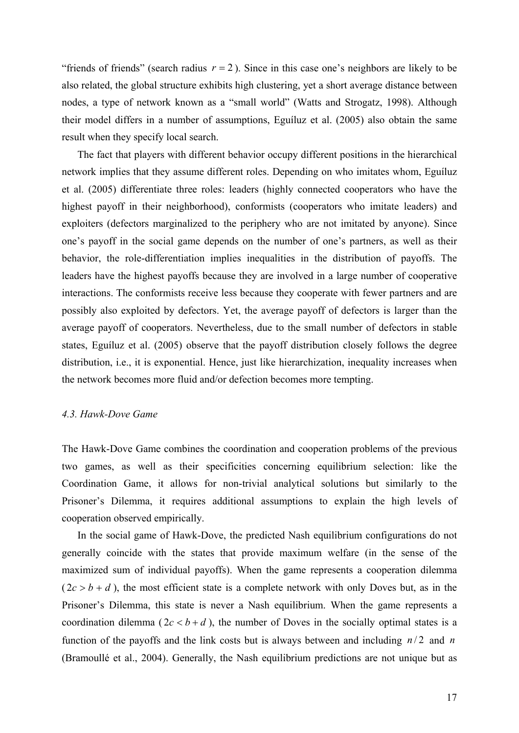"friends of friends" (search radius  $r = 2$ ). Since in this case one's neighbors are likely to be also related, the global structure exhibits high clustering, yet a short average distance between nodes, a type of network known as a "small world" (Watts and Strogatz, 1998). Although their model differs in a number of assumptions, Eguíluz et al. (2005) also obtain the same result when they specify local search.

The fact that players with different behavior occupy different positions in the hierarchical network implies that they assume different roles. Depending on who imitates whom, Eguíluz et al. (2005) differentiate three roles: leaders (highly connected cooperators who have the highest payoff in their neighborhood), conformists (cooperators who imitate leaders) and exploiters (defectors marginalized to the periphery who are not imitated by anyone). Since one's payoff in the social game depends on the number of one's partners, as well as their behavior, the role-differentiation implies inequalities in the distribution of payoffs. The leaders have the highest payoffs because they are involved in a large number of cooperative interactions. The conformists receive less because they cooperate with fewer partners and are possibly also exploited by defectors. Yet, the average payoff of defectors is larger than the average payoff of cooperators. Nevertheless, due to the small number of defectors in stable states, Eguíluz et al. (2005) observe that the payoff distribution closely follows the degree distribution, i.e., it is exponential. Hence, just like hierarchization, inequality increases when the network becomes more fluid and/or defection becomes more tempting.

# *4.3. Hawk-Dove Game*

The Hawk-Dove Game combines the coordination and cooperation problems of the previous two games, as well as their specificities concerning equilibrium selection: like the Coordination Game, it allows for non-trivial analytical solutions but similarly to the Prisoner's Dilemma, it requires additional assumptions to explain the high levels of cooperation observed empirically.

In the social game of Hawk-Dove, the predicted Nash equilibrium configurations do not generally coincide with the states that provide maximum welfare (in the sense of the maximized sum of individual payoffs). When the game represents a cooperation dilemma  $(2c > b + d)$ , the most efficient state is a complete network with only Doves but, as in the Prisoner's Dilemma, this state is never a Nash equilibrium. When the game represents a coordination dilemma ( $2c < b + d$ ), the number of Doves in the socially optimal states is a function of the payoffs and the link costs but is always between and including  $n/2$  and *n* (Bramoullé et al., 2004). Generally, the Nash equilibrium predictions are not unique but as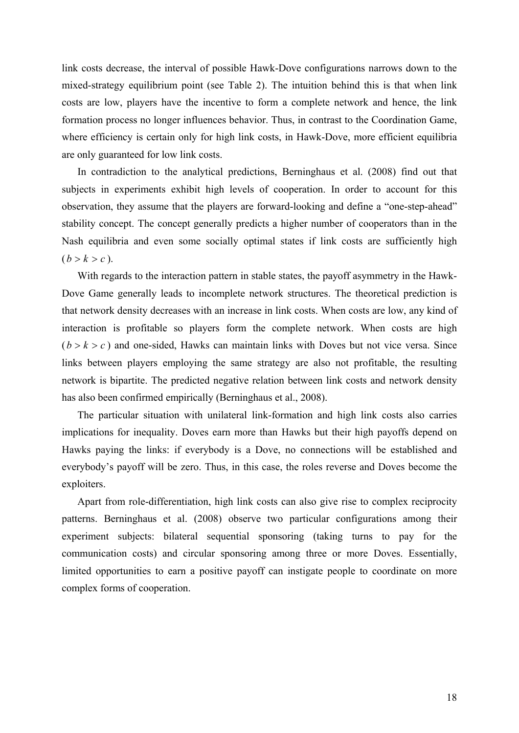link costs decrease, the interval of possible Hawk-Dove configurations narrows down to the mixed-strategy equilibrium point (see Table 2). The intuition behind this is that when link costs are low, players have the incentive to form a complete network and hence, the link formation process no longer influences behavior. Thus, in contrast to the Coordination Game, where efficiency is certain only for high link costs, in Hawk-Dove, more efficient equilibria are only guaranteed for low link costs.

In contradiction to the analytical predictions, Berninghaus et al. (2008) find out that subjects in experiments exhibit high levels of cooperation. In order to account for this observation, they assume that the players are forward-looking and define a "one-step-ahead" stability concept. The concept generally predicts a higher number of cooperators than in the Nash equilibria and even some socially optimal states if link costs are sufficiently high  $(b > k > c)$ .

With regards to the interaction pattern in stable states, the payoff asymmetry in the Hawk-Dove Game generally leads to incomplete network structures. The theoretical prediction is that network density decreases with an increase in link costs. When costs are low, any kind of interaction is profitable so players form the complete network. When costs are high  $(b > k > c)$  and one-sided, Hawks can maintain links with Doves but not vice versa. Since links between players employing the same strategy are also not profitable, the resulting network is bipartite. The predicted negative relation between link costs and network density has also been confirmed empirically (Berninghaus et al., 2008).

The particular situation with unilateral link-formation and high link costs also carries implications for inequality. Doves earn more than Hawks but their high payoffs depend on Hawks paying the links: if everybody is a Dove, no connections will be established and everybody's payoff will be zero. Thus, in this case, the roles reverse and Doves become the exploiters.

Apart from role-differentiation, high link costs can also give rise to complex reciprocity patterns. Berninghaus et al. (2008) observe two particular configurations among their experiment subjects: bilateral sequential sponsoring (taking turns to pay for the communication costs) and circular sponsoring among three or more Doves. Essentially, limited opportunities to earn a positive payoff can instigate people to coordinate on more complex forms of cooperation.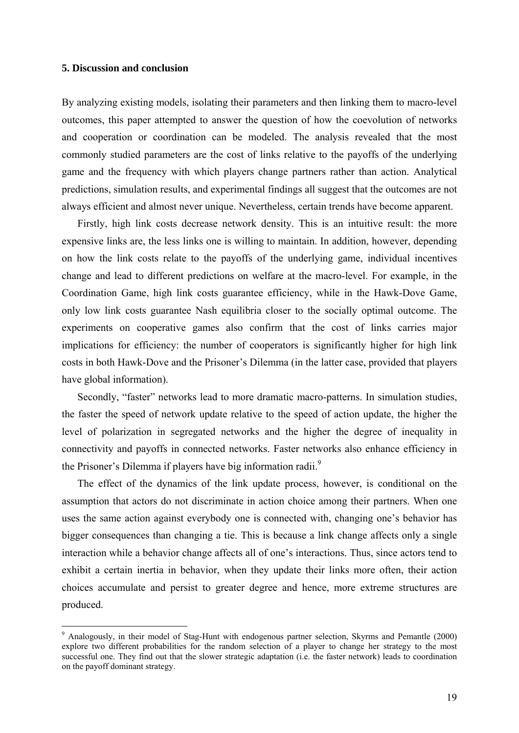# **5. Discussion and conclusion**

<u>.</u>

By analyzing existing models, isolating their parameters and then linking them to macro-level outcomes, this paper attempted to answer the question of how the coevolution of networks and cooperation or coordination can be modeled. The analysis revealed that the most commonly studied parameters are the cost of links relative to the payoffs of the underlying game and the frequency with which players change partners rather than action. Analytical predictions, simulation results, and experimental findings all suggest that the outcomes are not always efficient and almost never unique. Nevertheless, certain trends have become apparent.

Firstly, high link costs decrease network density. This is an intuitive result: the more expensive links are, the less links one is willing to maintain. In addition, however, depending on how the link costs relate to the payoffs of the underlying game, individual incentives change and lead to different predictions on welfare at the macro-level. For example, in the Coordination Game, high link costs guarantee efficiency, while in the Hawk-Dove Game, only low link costs guarantee Nash equilibria closer to the socially optimal outcome. The experiments on cooperative games also confirm that the cost of links carries major implications for efficiency: the number of cooperators is significantly higher for high link costs in both Hawk-Dove and the Prisoner's Dilemma (in the latter case, provided that players have global information).

Secondly, "faster" networks lead to more dramatic macro-patterns. In simulation studies, the faster the speed of network update relative to the speed of action update, the higher the level of polarization in segregated networks and the higher the degree of inequality in connectivity and payoffs in connected networks. Faster networks also enhance efficiency in the Prisoner's Dilemma if players have big information radii.<sup>9</sup>

The effect of the dynamics of the link update process, however, is conditional on the assumption that actors do not discriminate in action choice among their partners. When one uses the same action against everybody one is connected with, changing one's behavior has bigger consequences than changing a tie. This is because a link change affects only a single interaction while a behavior change affects all of one's interactions. Thus, since actors tend to exhibit a certain inertia in behavior, when they update their links more often, their action choices accumulate and persist to greater degree and hence, more extreme structures are produced.

<sup>&</sup>lt;sup>9</sup> Analogously, in their model of Stag-Hunt with endogenous partner selection, Skyrms and Pemantle (2000) explore two different probabilities for the random selection of a player to change her strategy to the most successful one. They find out that the slower strategic adaptation (i.e. the faster network) leads to coordination on the payoff dominant strategy.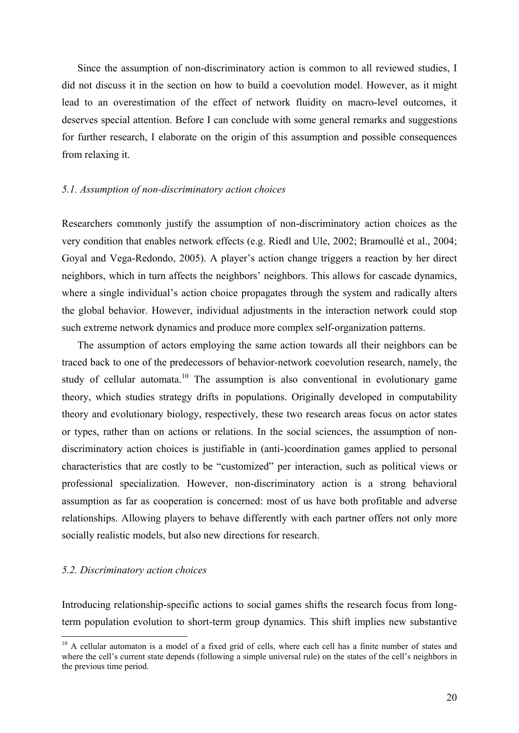Since the assumption of non-discriminatory action is common to all reviewed studies, I did not discuss it in the section on how to build a coevolution model. However, as it might lead to an overestimation of the effect of network fluidity on macro-level outcomes, it deserves special attention. Before I can conclude with some general remarks and suggestions for further research, I elaborate on the origin of this assumption and possible consequences from relaxing it.

# *5.1. Assumption of non-discriminatory action choices*

Researchers commonly justify the assumption of non-discriminatory action choices as the very condition that enables network effects (e.g. Riedl and Ule, 2002; Bramoullé et al., 2004; Goyal and Vega-Redondo, 2005). A player's action change triggers a reaction by her direct neighbors, which in turn affects the neighbors' neighbors. This allows for cascade dynamics, where a single individual's action choice propagates through the system and radically alters the global behavior. However, individual adjustments in the interaction network could stop such extreme network dynamics and produce more complex self-organization patterns.

The assumption of actors employing the same action towards all their neighbors can be traced back to one of the predecessors of behavior-network coevolution research, namely, the study of cellular automata.<sup>10</sup> The assumption is also conventional in evolutionary game theory, which studies strategy drifts in populations. Originally developed in computability theory and evolutionary biology, respectively, these two research areas focus on actor states or types, rather than on actions or relations. In the social sciences, the assumption of nondiscriminatory action choices is justifiable in (anti-)coordination games applied to personal characteristics that are costly to be "customized" per interaction, such as political views or professional specialization. However, non-discriminatory action is a strong behavioral assumption as far as cooperation is concerned: most of us have both profitable and adverse relationships. Allowing players to behave differently with each partner offers not only more socially realistic models, but also new directions for research.

# *5.2. Discriminatory action choices*

1

Introducing relationship-specific actions to social games shifts the research focus from longterm population evolution to short-term group dynamics. This shift implies new substantive

<sup>&</sup>lt;sup>10</sup> A cellular automaton is a model of a fixed grid of cells, where each cell has a finite number of states and where the cell's current state depends (following a simple universal rule) on the states of the cell's neighbors in the previous time period.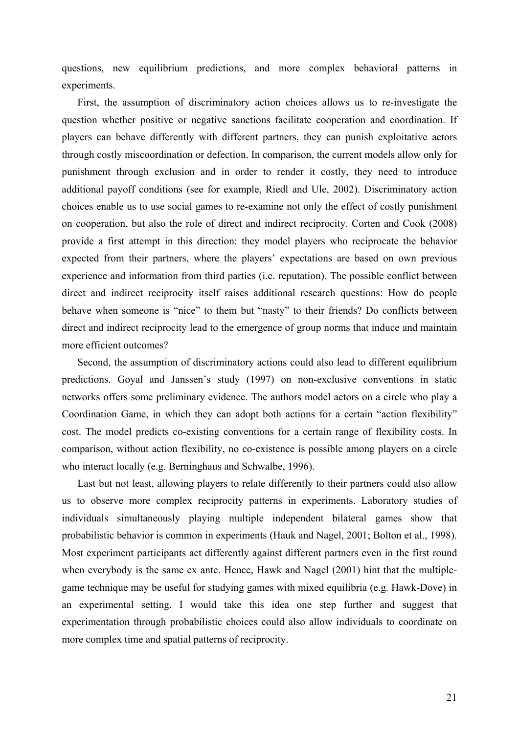questions, new equilibrium predictions, and more complex behavioral patterns in experiments.

First, the assumption of discriminatory action choices allows us to re-investigate the question whether positive or negative sanctions facilitate cooperation and coordination. If players can behave differently with different partners, they can punish exploitative actors through costly miscoordination or defection. In comparison, the current models allow only for punishment through exclusion and in order to render it costly, they need to introduce additional payoff conditions (see for example, Riedl and Ule, 2002). Discriminatory action choices enable us to use social games to re-examine not only the effect of costly punishment on cooperation, but also the role of direct and indirect reciprocity. Corten and Cook (2008) provide a first attempt in this direction: they model players who reciprocate the behavior expected from their partners, where the players' expectations are based on own previous experience and information from third parties (i.e. reputation). The possible conflict between direct and indirect reciprocity itself raises additional research questions: How do people behave when someone is "nice" to them but "nasty" to their friends? Do conflicts between direct and indirect reciprocity lead to the emergence of group norms that induce and maintain more efficient outcomes?

Second, the assumption of discriminatory actions could also lead to different equilibrium predictions. Goyal and Janssen's study (1997) on non-exclusive conventions in static networks offers some preliminary evidence. The authors model actors on a circle who play a Coordination Game, in which they can adopt both actions for a certain "action flexibility" cost. The model predicts co-existing conventions for a certain range of flexibility costs. In comparison, without action flexibility, no co-existence is possible among players on a circle who interact locally (e.g. Berninghaus and Schwalbe, 1996).

Last but not least, allowing players to relate differently to their partners could also allow us to observe more complex reciprocity patterns in experiments. Laboratory studies of individuals simultaneously playing multiple independent bilateral games show that probabilistic behavior is common in experiments (Hauk and Nagel, 2001; Bolton et al., 1998). Most experiment participants act differently against different partners even in the first round when everybody is the same ex ante. Hence, Hawk and Nagel (2001) hint that the multiplegame technique may be useful for studying games with mixed equilibria (e.g. Hawk-Dove) in an experimental setting. I would take this idea one step further and suggest that experimentation through probabilistic choices could also allow individuals to coordinate on more complex time and spatial patterns of reciprocity.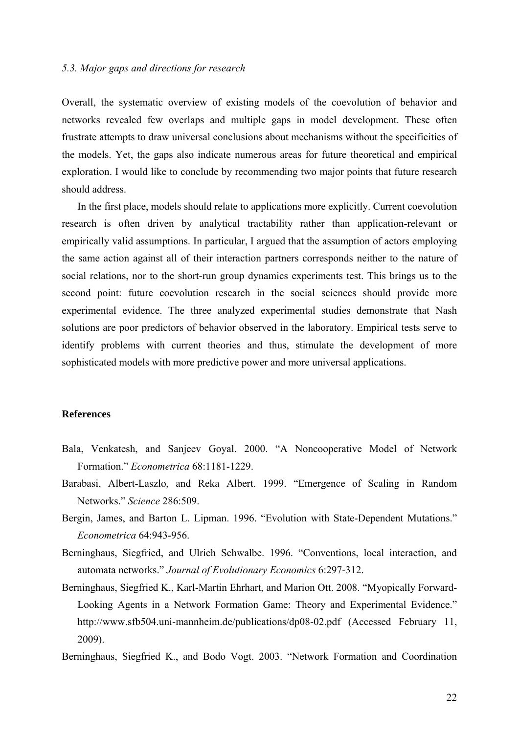# *5.3. Major gaps and directions for research*

Overall, the systematic overview of existing models of the coevolution of behavior and networks revealed few overlaps and multiple gaps in model development. These often frustrate attempts to draw universal conclusions about mechanisms without the specificities of the models. Yet, the gaps also indicate numerous areas for future theoretical and empirical exploration. I would like to conclude by recommending two major points that future research should address.

In the first place, models should relate to applications more explicitly. Current coevolution research is often driven by analytical tractability rather than application-relevant or empirically valid assumptions. In particular, I argued that the assumption of actors employing the same action against all of their interaction partners corresponds neither to the nature of social relations, nor to the short-run group dynamics experiments test. This brings us to the second point: future coevolution research in the social sciences should provide more experimental evidence. The three analyzed experimental studies demonstrate that Nash solutions are poor predictors of behavior observed in the laboratory. Empirical tests serve to identify problems with current theories and thus, stimulate the development of more sophisticated models with more predictive power and more universal applications.

# **References**

- Bala, Venkatesh, and Sanjeev Goyal. 2000. "A Noncooperative Model of Network Formation." *Econometrica* 68:1181-1229.
- Barabasi, Albert-Laszlo, and Reka Albert. 1999. "Emergence of Scaling in Random Networks." *Science* 286:509.
- Bergin, James, and Barton L. Lipman. 1996. "Evolution with State-Dependent Mutations." *Econometrica* 64:943-956.
- Berninghaus, Siegfried, and Ulrich Schwalbe. 1996. "Conventions, local interaction, and automata networks." *Journal of Evolutionary Economics* 6:297-312.
- Berninghaus, Siegfried K., Karl-Martin Ehrhart, and Marion Ott. 2008. "Myopically Forward-Looking Agents in a Network Formation Game: Theory and Experimental Evidence." http://www.sfb504.uni-mannheim.de/publications/dp08-02.pdf (Accessed February 11, 2009).
- Berninghaus, Siegfried K., and Bodo Vogt. 2003. "Network Formation and Coordination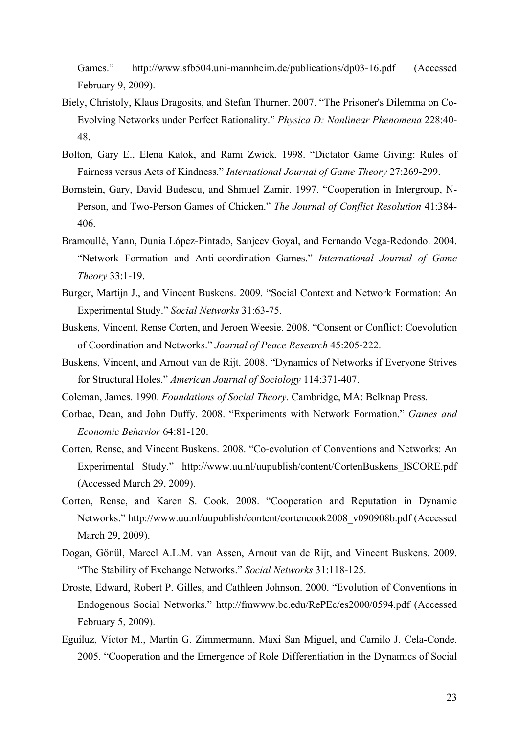Games." http://www.sfb504.uni-mannheim.de/publications/dp03-16.pdf (Accessed February 9, 2009).

- Biely, Christoly, Klaus Dragosits, and Stefan Thurner. 2007. "The Prisoner's Dilemma on Co-Evolving Networks under Perfect Rationality." *Physica D: Nonlinear Phenomena* 228:40- 48.
- Bolton, Gary E., Elena Katok, and Rami Zwick. 1998. "Dictator Game Giving: Rules of Fairness versus Acts of Kindness." *International Journal of Game Theory* 27:269-299.
- Bornstein, Gary, David Budescu, and Shmuel Zamir. 1997. "Cooperation in Intergroup, N-Person, and Two-Person Games of Chicken." *The Journal of Conflict Resolution* 41:384- 406.
- Bramoullé, Yann, Dunia López-Pintado, Sanjeev Goyal, and Fernando Vega-Redondo. 2004. "Network Formation and Anti-coordination Games." *International Journal of Game Theory* 33:1-19.
- Burger, Martijn J., and Vincent Buskens. 2009. "Social Context and Network Formation: An Experimental Study." *Social Networks* 31:63-75.
- Buskens, Vincent, Rense Corten, and Jeroen Weesie. 2008. "Consent or Conflict: Coevolution of Coordination and Networks." *Journal of Peace Research* 45:205-222.
- Buskens, Vincent, and Arnout van de Rijt. 2008. "Dynamics of Networks if Everyone Strives for Structural Holes." *American Journal of Sociology* 114:371-407.
- Coleman, James. 1990. *Foundations of Social Theory*. Cambridge, MA: Belknap Press.
- Corbae, Dean, and John Duffy. 2008. "Experiments with Network Formation." *Games and Economic Behavior* 64:81-120.
- Corten, Rense, and Vincent Buskens. 2008. "Co-evolution of Conventions and Networks: An Experimental Study." http://www.uu.nl/uupublish/content/CortenBuskens\_ISCORE.pdf (Accessed March 29, 2009).
- Corten, Rense, and Karen S. Cook. 2008. "Cooperation and Reputation in Dynamic Networks." http://www.uu.nl/uupublish/content/cortencook2008\_v090908b.pdf (Accessed March 29, 2009).
- Dogan, Gönül, Marcel A.L.M. van Assen, Arnout van de Rijt, and Vincent Buskens. 2009. "The Stability of Exchange Networks." *Social Networks* 31:118-125.
- Droste, Edward, Robert P. Gilles, and Cathleen Johnson. 2000. "Evolution of Conventions in Endogenous Social Networks." http://fmwww.bc.edu/RePEc/es2000/0594.pdf (Accessed February 5, 2009).
- Eguíluz, Víctor M., Martín G. Zimmermann, Maxi San Miguel, and Camilo J. Cela-Conde. 2005. "Cooperation and the Emergence of Role Differentiation in the Dynamics of Social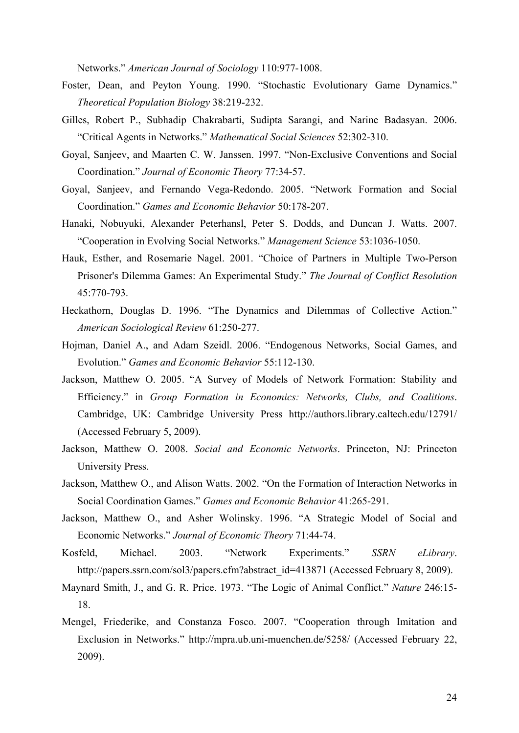Networks." *American Journal of Sociology* 110:977-1008.

- Foster, Dean, and Peyton Young. 1990. "Stochastic Evolutionary Game Dynamics." *Theoretical Population Biology* 38:219-232.
- Gilles, Robert P., Subhadip Chakrabarti, Sudipta Sarangi, and Narine Badasyan. 2006. "Critical Agents in Networks." *Mathematical Social Sciences* 52:302-310.
- Goyal, Sanjeev, and Maarten C. W. Janssen. 1997. "Non-Exclusive Conventions and Social Coordination." *Journal of Economic Theory* 77:34-57.
- Goyal, Sanjeev, and Fernando Vega-Redondo. 2005. "Network Formation and Social Coordination." *Games and Economic Behavior* 50:178-207.
- Hanaki, Nobuyuki, Alexander Peterhansl, Peter S. Dodds, and Duncan J. Watts. 2007. "Cooperation in Evolving Social Networks." *Management Science* 53:1036-1050.
- Hauk, Esther, and Rosemarie Nagel. 2001. "Choice of Partners in Multiple Two-Person Prisoner's Dilemma Games: An Experimental Study." *The Journal of Conflict Resolution* 45:770-793.
- Heckathorn, Douglas D. 1996. "The Dynamics and Dilemmas of Collective Action." *American Sociological Review* 61:250-277.
- Hojman, Daniel A., and Adam Szeidl. 2006. "Endogenous Networks, Social Games, and Evolution." *Games and Economic Behavior* 55:112-130.
- Jackson, Matthew O. 2005. "A Survey of Models of Network Formation: Stability and Efficiency." in *Group Formation in Economics: Networks, Clubs, and Coalitions*. Cambridge, UK: Cambridge University Press http://authors.library.caltech.edu/12791/ (Accessed February 5, 2009).
- Jackson, Matthew O. 2008. *Social and Economic Networks*. Princeton, NJ: Princeton University Press.
- Jackson, Matthew O., and Alison Watts. 2002. "On the Formation of Interaction Networks in Social Coordination Games." *Games and Economic Behavior* 41:265-291.
- Jackson, Matthew O., and Asher Wolinsky. 1996. "A Strategic Model of Social and Economic Networks." *Journal of Economic Theory* 71:44-74.
- Kosfeld, Michael. 2003. "Network Experiments." *SSRN eLibrary*. http://papers.ssrn.com/sol3/papers.cfm?abstract\_id=413871 (Accessed February 8, 2009).
- Maynard Smith, J., and G. R. Price. 1973. "The Logic of Animal Conflict." *Nature* 246:15- 18.
- Mengel, Friederike, and Constanza Fosco. 2007. "Cooperation through Imitation and Exclusion in Networks." http://mpra.ub.uni-muenchen.de/5258/ (Accessed February 22, 2009).